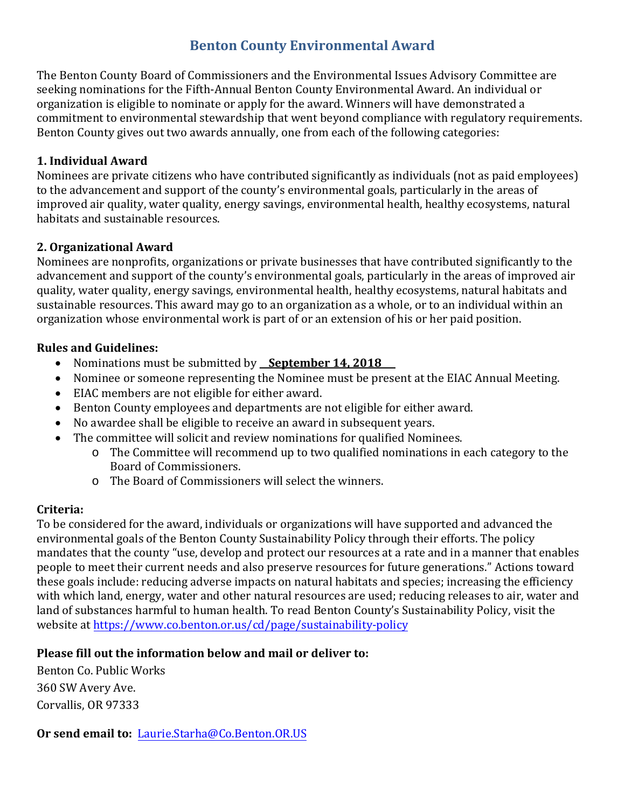# **Benton County Environmental Award**

The Benton County Board of Commissioners and the Environmental Issues Advisory Committee are seeking nominations for the Fifth-Annual Benton County Environmental Award. An individual or organization is eligible to nominate or apply for the award. Winners will have demonstrated a commitment to environmental stewardship that went beyond compliance with regulatory requirements. Benton County gives out two awards annually, one from each of the following categories:

### **1. Individual Award**

Nominees are private citizens who have contributed significantly as individuals (not as paid employees) to the advancement and support of the county's environmental goals, particularly in the areas of improved air quality, water quality, energy savings, environmental health, healthy ecosystems, natural habitats and sustainable resources.

#### **2. Organizational Award**

Nominees are nonprofits, organizations or private businesses that have contributed significantly to the advancement and support of the county's environmental goals, particularly in the areas of improved air quality, water quality, energy savings, environmental health, healthy ecosystems, natural habitats and sustainable resources. This award may go to an organization as a whole, or to an individual within an organization whose environmental work is part of or an extension of his or her paid position.

#### **Rules and Guidelines:**

- Nominations must be submitted by **September 14, 2018**
- Nominee or someone representing the Nominee must be present at the EIAC Annual Meeting.
- EIAC members are not eligible for either award.
- Benton County employees and departments are not eligible for either award.
- No awardee shall be eligible to receive an award in subsequent years.
- The committee will solicit and review nominations for qualified Nominees.
	- o The Committee will recommend up to two qualified nominations in each category to the Board of Commissioners.
	- o The Board of Commissioners will select the winners.

# **Criteria:**

To be considered for the award, individuals or organizations will have supported and advanced the environmental goals of the Benton County Sustainability Policy through their efforts. The policy mandates that the county "use, develop and protect our resources at a rate and in a manner that enables people to meet their current needs and also preserve resources for future generations." Actions toward these goals include: reducing adverse impacts on natural habitats and species; increasing the efficiency with which land, energy, water and other natural resources are used; reducing releases to air, water and land of substances harmful to human health. To read Benton County's Sustainability Policy, visit the website at https://www.co.benton.or.us/cd/page/sustainability-policy

# **Please fill out the information below and mail or deliver to:**

Benton Co. Public Works 360 SW Avery Ave. Corvallis, OR 97333

**Or send email to:** Laurie.Starha@Co.Benton.OR.US